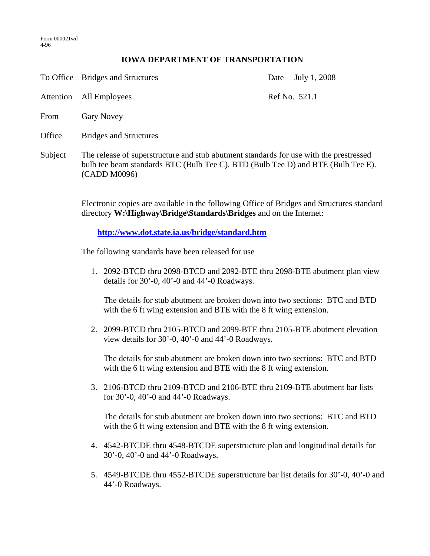## **IOWA DEPARTMENT OF TRANSPORTATION**

|           | To Office Bridges and Structures                                                                                                                                                           | Date | July 1, 2008  |
|-----------|--------------------------------------------------------------------------------------------------------------------------------------------------------------------------------------------|------|---------------|
| Attention | All Employees                                                                                                                                                                              |      | Ref No. 521.1 |
| From      | <b>Gary Novey</b>                                                                                                                                                                          |      |               |
| Office    | <b>Bridges and Structures</b>                                                                                                                                                              |      |               |
| Subject   | The release of superstructure and stub abutment standards for use with the prestressed<br>bulb tee beam standards BTC (Bulb Tee C), BTD (Bulb Tee D) and BTE (Bulb Tee E).<br>(CADD M0096) |      |               |

Electronic copies are available in the following Office of Bridges and Structures standard directory **W:\Highway\Bridge\Standards\Bridges** and on the Internet:

**http://www.dot.state.ia.us/bridge/standard.htm**

The following standards have been released for use

1. 2092-BTCD thru 2098-BTCD and 2092-BTE thru 2098-BTE abutment plan view details for 30'-0, 40'-0 and 44'-0 Roadways.

The details for stub abutment are broken down into two sections: BTC and BTD with the 6 ft wing extension and BTE with the 8 ft wing extension.

2. 2099-BTCD thru 2105-BTCD and 2099-BTE thru 2105-BTE abutment elevation view details for 30'-0, 40'-0 and 44'-0 Roadways.

The details for stub abutment are broken down into two sections: BTC and BTD with the 6 ft wing extension and BTE with the 8 ft wing extension.

3. 2106-BTCD thru 2109-BTCD and 2106-BTE thru 2109-BTE abutment bar lists for 30'-0, 40'-0 and 44'-0 Roadways.

The details for stub abutment are broken down into two sections: BTC and BTD with the 6 ft wing extension and BTE with the 8 ft wing extension.

- 4. 4542-BTCDE thru 4548-BTCDE superstructure plan and longitudinal details for 30'-0, 40'-0 and 44'-0 Roadways.
- 5. 4549-BTCDE thru 4552-BTCDE superstructure bar list details for 30'-0, 40'-0 and 44'-0 Roadways.